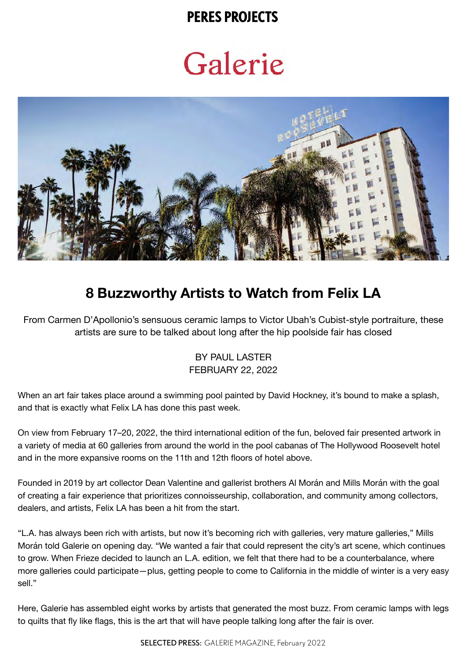### **PERES PROJECTS**

# Galerie



# **8 Buzzworthy Artists to Watch from Felix LA**

From Carmen D'Apollonio's sensuous ceramic lamps to Victor Ubah's Cubist-style portraiture, these artists are sure to be talked about long after the hip poolside fair has closed

#### BY PAUL LASTER FEBRUARY 22, 2022

When an art fair takes place around a swimming pool painted by David Hockney, it's bound to make a splash, and that is exactly what Felix LA has done this past week.

On view from February 17–20, 2022, the third international edition of the fun, beloved fair presented artwork in a variety of media at 60 galleries from around the world in the pool cabanas of The Hollywood Roosevelt hotel and in the more expansive rooms on the 11th and 12th floors of hotel above.

Founded in 2019 by art collector Dean Valentine and gallerist brothers Al Morán and Mills Morán with the goal of creating a fair experience that prioritizes connoisseurship, collaboration, and community among collectors, dealers, and artists, Felix LA has been a hit from the start.

"L.A. has always been rich with artists, but now it's becoming rich with galleries, very mature galleries," Mills Morán told Galerie on opening day. "We wanted a fair that could represent the city's art scene, which continues to grow. When Frieze decided to launch an L.A. edition, we felt that there had to be a counterbalance, where more galleries could participate—plus, getting people to come to California in the middle of winter is a very easy sell."

Here, Galerie has assembled eight works by artists that generated the most buzz. From ceramic lamps with legs to quilts that fly like flags, this is the art that will have people talking long after the fair is over.

SELECTED PRESS: GALERIE MAGAZINE, February 2022